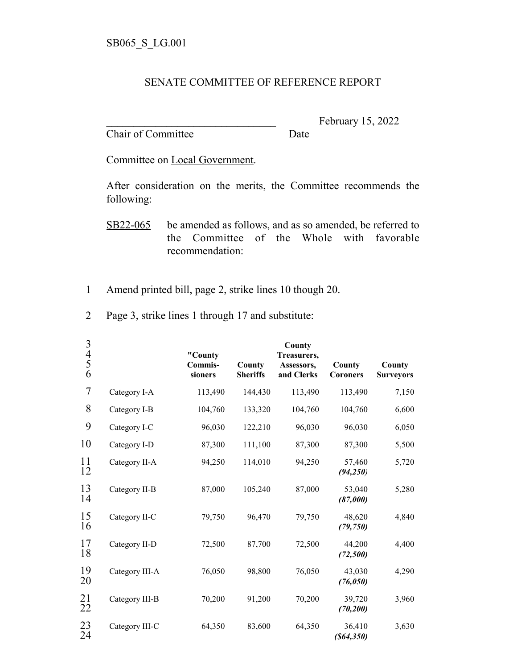## SENATE COMMITTEE OF REFERENCE REPORT

Chair of Committee Date

February 15, 2022

Committee on Local Government.

After consideration on the merits, the Committee recommends the following:

SB22-065 be amended as follows, and as so amended, be referred to the Committee of the Whole with favorable recommendation:

- 1 Amend printed bill, page 2, strike lines 10 though 20.
- 2 Page 3, strike lines 1 through 17 and substitute:

| 3<br>4<br>5<br>6 |                | "County<br>Commis-<br>sioners | County<br><b>Sheriffs</b> | County<br>Treasurers,<br>Assessors,<br>and Clerks | County<br><b>Coroners</b> | County<br><b>Surveyors</b> |
|------------------|----------------|-------------------------------|---------------------------|---------------------------------------------------|---------------------------|----------------------------|
| 7                | Category I-A   | 113,490                       | 144,430                   | 113,490                                           | 113,490                   | 7,150                      |
| 8                | Category I-B   | 104,760                       | 133,320                   | 104,760                                           | 104,760                   | 6,600                      |
| 9                | Category I-C   | 96,030                        | 122,210                   | 96,030                                            | 96,030                    | 6,050                      |
| 10               | Category I-D   | 87,300                        | 111,100                   | 87,300                                            | 87,300                    | 5,500                      |
| 11<br>12         | Category II-A  | 94,250                        | 114,010                   | 94,250                                            | 57,460<br>(94, 250)       | 5,720                      |
| 13<br>14         | Category II-B  | 87,000                        | 105,240                   | 87,000                                            | 53,040<br>(87,000)        | 5,280                      |
| 15<br>16         | Category II-C  | 79,750                        | 96,470                    | 79,750                                            | 48,620<br>(79, 750)       | 4,840                      |
| 17<br>18         | Category II-D  | 72,500                        | 87,700                    | 72,500                                            | 44,200<br>(72, 500)       | 4,400                      |
| 19<br>20         | Category III-A | 76,050                        | 98,800                    | 76,050                                            | 43,030<br>(76, 050)       | 4,290                      |
| 21<br>22         | Category III-B | 70,200                        | 91,200                    | 70,200                                            | 39,720<br>(70, 200)       | 3,960                      |
| 23<br>24         | Category III-C | 64,350                        | 83,600                    | 64,350                                            | 36,410<br>(864, 350)      | 3,630                      |